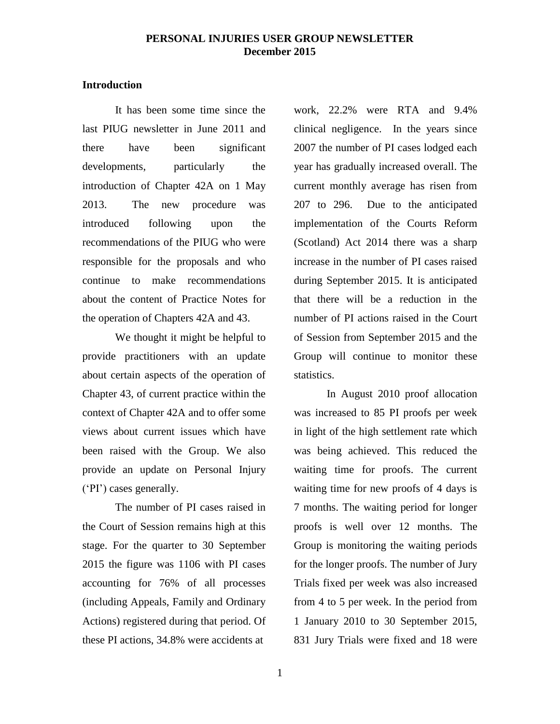# **Introduction**

It has been some time since the last PIUG newsletter in June 2011 and there have been significant developments, particularly the introduction of Chapter 42A on 1 May 2013. The new procedure was introduced following upon the recommendations of the PIUG who were responsible for the proposals and who continue to make recommendations about the content of Practice Notes for the operation of Chapters 42A and 43.

We thought it might be helpful to provide practitioners with an update about certain aspects of the operation of Chapter 43, of current practice within the context of Chapter 42A and to offer some views about current issues which have been raised with the Group. We also provide an update on Personal Injury ('PI') cases generally.

The number of PI cases raised in the Court of Session remains high at this stage. For the quarter to 30 September 2015 the figure was 1106 with PI cases accounting for 76% of all processes (including Appeals, Family and Ordinary Actions) registered during that period. Of these PI actions, 34.8% were accidents at

work, 22.2% were RTA and 9.4% clinical negligence. In the years since 2007 the number of PI cases lodged each year has gradually increased overall. The current monthly average has risen from 207 to 296. Due to the anticipated implementation of the Courts Reform (Scotland) Act 2014 there was a sharp increase in the number of PI cases raised during September 2015. It is anticipated that there will be a reduction in the number of PI actions raised in the Court of Session from September 2015 and the Group will continue to monitor these statistics.

In August 2010 proof allocation was increased to 85 PI proofs per week in light of the high settlement rate which was being achieved. This reduced the waiting time for proofs. The current waiting time for new proofs of 4 days is 7 months. The waiting period for longer proofs is well over 12 months. The Group is monitoring the waiting periods for the longer proofs. The number of Jury Trials fixed per week was also increased from 4 to 5 per week. In the period from 1 January 2010 to 30 September 2015, 831 Jury Trials were fixed and 18 were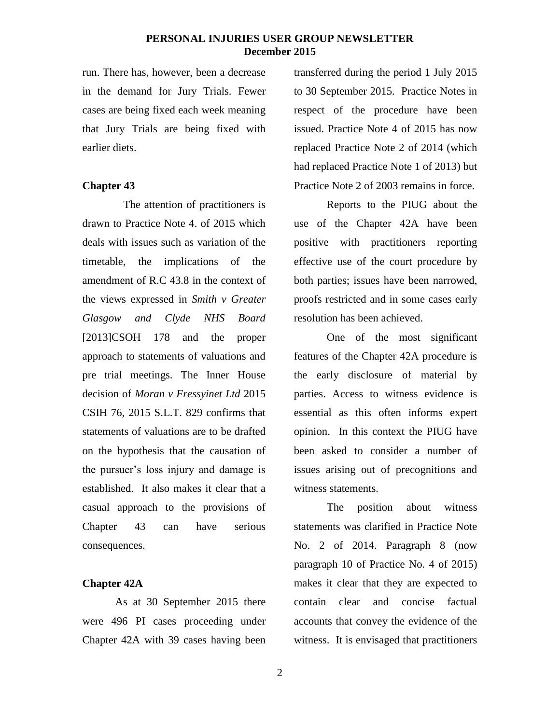run. There has, however, been a decrease in the demand for Jury Trials. Fewer cases are being fixed each week meaning that Jury Trials are being fixed with earlier diets.

# **Chapter 43**

 The attention of practitioners is drawn to Practice Note 4. of 2015 which deals with issues such as variation of the timetable, the implications of the amendment of R.C 43.8 in the context of the views expressed in *Smith v Greater Glasgow and Clyde NHS Board*  [2013]CSOH 178 and the proper approach to statements of valuations and pre trial meetings. The Inner House decision of *Moran v Fressyinet Ltd* 2015 CSIH 76, 2015 S.L.T. 829 confirms that statements of valuations are to be drafted on the hypothesis that the causation of the pursuer's loss injury and damage is established. It also makes it clear that a casual approach to the provisions of Chapter 43 can have serious consequences.

# **Chapter 42A**

As at 30 September 2015 there were 496 PI cases proceeding under Chapter 42A with 39 cases having been

transferred during the period 1 July 2015 to 30 September 2015. Practice Notes in respect of the procedure have been issued. Practice Note 4 of 2015 has now replaced Practice Note 2 of 2014 (which had replaced Practice Note 1 of 2013) but Practice Note 2 of 2003 remains in force.

Reports to the PIUG about the use of the Chapter 42A have been positive with practitioners reporting effective use of the court procedure by both parties; issues have been narrowed, proofs restricted and in some cases early resolution has been achieved.

One of the most significant features of the Chapter 42A procedure is the early disclosure of material by parties. Access to witness evidence is essential as this often informs expert opinion. In this context the PIUG have been asked to consider a number of issues arising out of precognitions and witness statements.

The position about witness statements was clarified in Practice Note No. 2 of 2014. Paragraph 8 (now paragraph 10 of Practice No. 4 of 2015) makes it clear that they are expected to contain clear and concise factual accounts that convey the evidence of the witness. It is envisaged that practitioners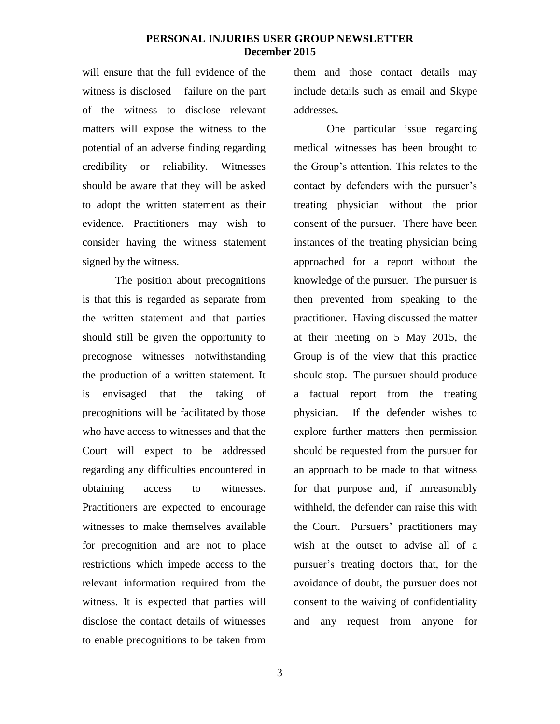will ensure that the full evidence of the witness is disclosed – failure on the part of the witness to disclose relevant matters will expose the witness to the potential of an adverse finding regarding credibility or reliability. Witnesses should be aware that they will be asked to adopt the written statement as their evidence. Practitioners may wish to consider having the witness statement signed by the witness.

The position about precognitions is that this is regarded as separate from the written statement and that parties should still be given the opportunity to precognose witnesses notwithstanding the production of a written statement. It is envisaged that the taking of precognitions will be facilitated by those who have access to witnesses and that the Court will expect to be addressed regarding any difficulties encountered in obtaining access to witnesses. Practitioners are expected to encourage witnesses to make themselves available for precognition and are not to place restrictions which impede access to the relevant information required from the witness. It is expected that parties will disclose the contact details of witnesses to enable precognitions to be taken from them and those contact details may include details such as email and Skype addresses.

One particular issue regarding medical witnesses has been brought to the Group's attention. This relates to the contact by defenders with the pursuer's treating physician without the prior consent of the pursuer. There have been instances of the treating physician being approached for a report without the knowledge of the pursuer. The pursuer is then prevented from speaking to the practitioner. Having discussed the matter at their meeting on 5 May 2015, the Group is of the view that this practice should stop. The pursuer should produce a factual report from the treating physician. If the defender wishes to explore further matters then permission should be requested from the pursuer for an approach to be made to that witness for that purpose and, if unreasonably withheld, the defender can raise this with the Court. Pursuers' practitioners may wish at the outset to advise all of a pursuer's treating doctors that, for the avoidance of doubt, the pursuer does not consent to the waiving of confidentiality and any request from anyone for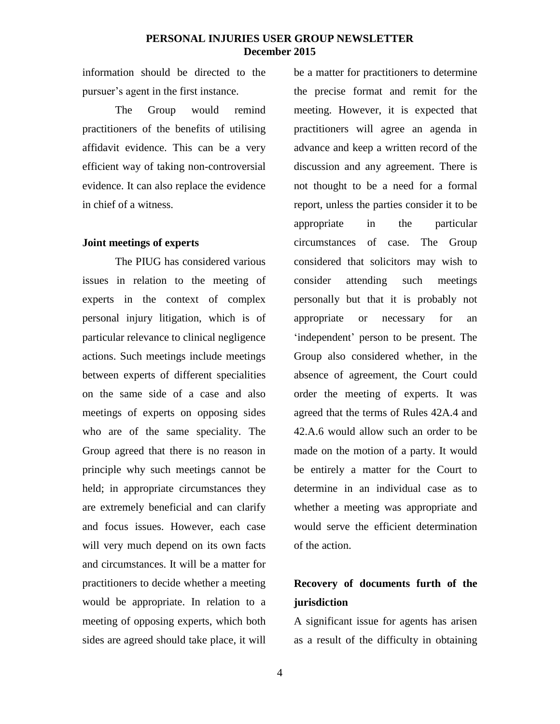information should be directed to the pursuer's agent in the first instance.

The Group would remind practitioners of the benefits of utilising affidavit evidence. This can be a very efficient way of taking non-controversial evidence. It can also replace the evidence in chief of a witness.

# **Joint meetings of experts**

The PIUG has considered various issues in relation to the meeting of experts in the context of complex personal injury litigation, which is of particular relevance to clinical negligence actions. Such meetings include meetings between experts of different specialities on the same side of a case and also meetings of experts on opposing sides who are of the same speciality. The Group agreed that there is no reason in principle why such meetings cannot be held; in appropriate circumstances they are extremely beneficial and can clarify and focus issues. However, each case will very much depend on its own facts and circumstances. It will be a matter for practitioners to decide whether a meeting would be appropriate. In relation to a meeting of opposing experts, which both sides are agreed should take place, it will

be a matter for practitioners to determine the precise format and remit for the meeting. However, it is expected that practitioners will agree an agenda in advance and keep a written record of the discussion and any agreement. There is not thought to be a need for a formal report, unless the parties consider it to be appropriate in the particular circumstances of case. The Group considered that solicitors may wish to consider attending such meetings personally but that it is probably not appropriate or necessary for an 'independent' person to be present. The Group also considered whether, in the absence of agreement, the Court could order the meeting of experts. It was agreed that the terms of Rules 42A.4 and 42.A.6 would allow such an order to be made on the motion of a party. It would be entirely a matter for the Court to determine in an individual case as to whether a meeting was appropriate and would serve the efficient determination of the action.

# **Recovery of documents furth of the jurisdiction**

A significant issue for agents has arisen as a result of the difficulty in obtaining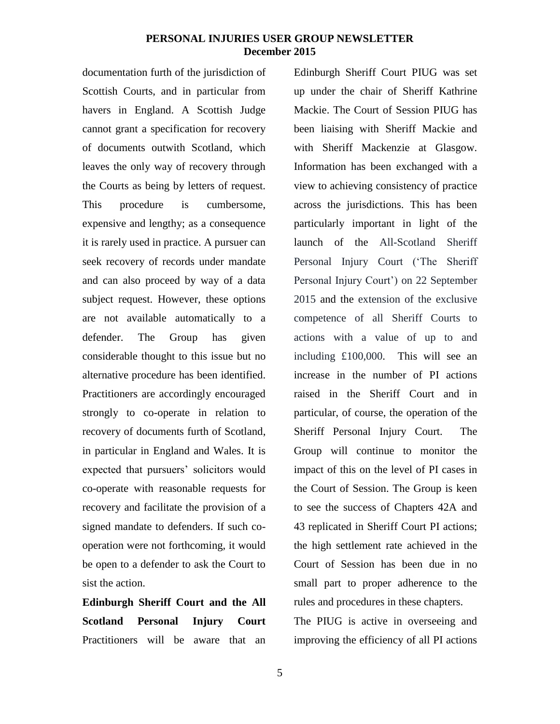documentation furth of the jurisdiction of Scottish Courts, and in particular from havers in England. A Scottish Judge cannot grant a specification for recovery of documents outwith Scotland, which leaves the only way of recovery through the Courts as being by letters of request. This procedure is cumbersome, expensive and lengthy; as a consequence it is rarely used in practice. A pursuer can seek recovery of records under mandate and can also proceed by way of a data subject request. However, these options are not available automatically to a defender. The Group has given considerable thought to this issue but no alternative procedure has been identified. Practitioners are accordingly encouraged strongly to co-operate in relation to recovery of documents furth of Scotland, in particular in England and Wales. It is expected that pursuers' solicitors would co-operate with reasonable requests for recovery and facilitate the provision of a signed mandate to defenders. If such cooperation were not forthcoming, it would be open to a defender to ask the Court to sist the action.

**Edinburgh Sheriff Court and the All Scotland Personal Injury Court** Practitioners will be aware that an

Edinburgh Sheriff Court PIUG was set up under the chair of Sheriff Kathrine Mackie. The Court of Session PIUG has been liaising with Sheriff Mackie and with Sheriff Mackenzie at Glasgow. Information has been exchanged with a view to achieving consistency of practice across the jurisdictions. This has been particularly important in light of the launch of the All-Scotland Sheriff Personal Injury Court ('The Sheriff Personal Injury Court') on 22 September 2015 and the extension of the exclusive competence of all Sheriff Courts to actions with a value of up to and including £100,000. This will see an increase in the number of PI actions raised in the Sheriff Court and in particular, of course, the operation of the Sheriff Personal Injury Court. The Group will continue to monitor the impact of this on the level of PI cases in the Court of Session. The Group is keen to see the success of Chapters 42A and 43 replicated in Sheriff Court PI actions; the high settlement rate achieved in the Court of Session has been due in no small part to proper adherence to the rules and procedures in these chapters.

The PIUG is active in overseeing and improving the efficiency of all PI actions